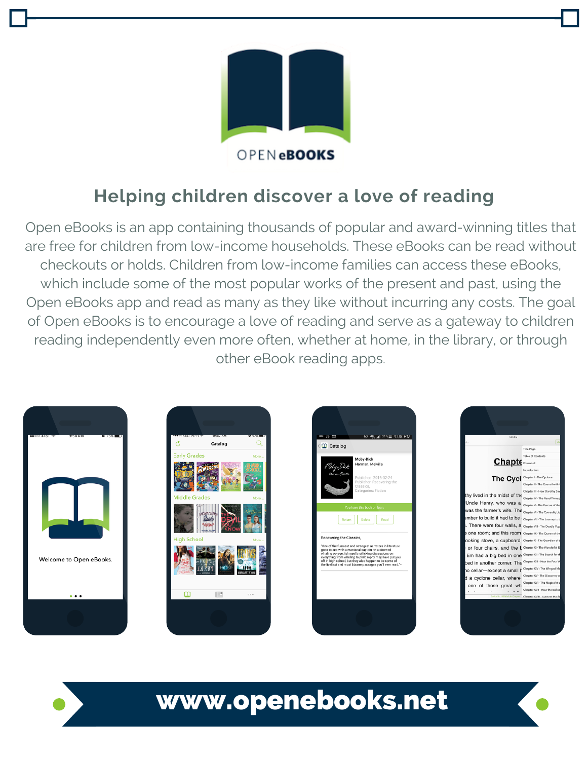

## **Helping children discover a love of reading**

Open eBooks is an app containing thousands of popular and award-winning titles that are free for children from low-income households. These eBooks can be read without checkouts or holds. Children from low-income families can access these eBooks, which include some of the most popular works of the present and past, using the Open eBooks app and read as many as they like without incurring any costs. The goal of Open eBooks is to encourage a love of reading and serve as a gateway to children reading independently even more often, whether at home, in the library, or through other eBook reading apps.









www.openebooks.net